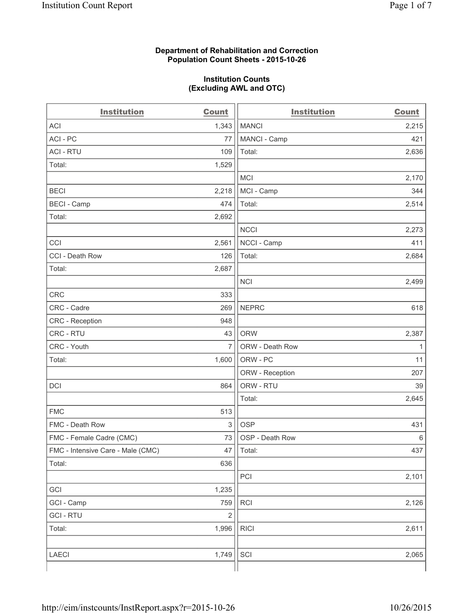### **Department of Rehabilitation and Correction Population Count Sheets - 2015-10-26**

#### **Institution Counts (Excluding AWL and OTC)**

| <b>Institution</b>                | <b>Count</b>   | <b>Institution</b> | <b>Count</b> |
|-----------------------------------|----------------|--------------------|--------------|
| <b>ACI</b>                        | 1,343          | <b>MANCI</b>       | 2,215        |
| ACI - PC                          | 77             | MANCI - Camp       | 421          |
| <b>ACI - RTU</b>                  | 109            | Total:             | 2,636        |
| Total:                            | 1,529          |                    |              |
|                                   |                | <b>MCI</b>         | 2,170        |
| <b>BECI</b>                       | 2,218          | MCI - Camp         | 344          |
| <b>BECI - Camp</b>                | 474            | Total:             | 2,514        |
| Total:                            | 2,692          |                    |              |
|                                   |                | <b>NCCI</b>        | 2,273        |
| CCI                               | 2,561          | NCCI - Camp        | 411          |
| CCI - Death Row                   | 126            | Total:             | 2,684        |
| Total:                            | 2,687          |                    |              |
|                                   |                | <b>NCI</b>         | 2,499        |
| <b>CRC</b>                        | 333            |                    |              |
| CRC - Cadre                       | 269            | <b>NEPRC</b>       | 618          |
| CRC - Reception                   | 948            |                    |              |
| CRC - RTU                         | 43             | <b>ORW</b>         | 2,387        |
| CRC - Youth                       | $\overline{7}$ | ORW - Death Row    | 1            |
| Total:                            | 1,600          | ORW - PC           | 11           |
|                                   |                | ORW - Reception    | 207          |
| DCI                               | 864            | ORW - RTU          | 39           |
|                                   |                | Total:             | 2,645        |
| <b>FMC</b>                        | 513            |                    |              |
| FMC - Death Row                   | $\mathsf 3$    | <b>OSP</b>         | 431          |
| FMC - Female Cadre (CMC)          | 73             | OSP - Death Row    | 6            |
| FMC - Intensive Care - Male (CMC) | 47             | Total:             | 437          |
| Total:                            | 636            |                    |              |
|                                   |                | PCI                | 2,101        |
| GCI                               | 1,235          |                    |              |
| GCI - Camp                        | 759            | <b>RCI</b>         | 2,126        |
| <b>GCI - RTU</b>                  | $\mathbf 2$    |                    |              |
| Total:                            | 1,996          | <b>RICI</b>        | 2,611        |
|                                   |                |                    |              |
| LAECI                             | 1,749          | SCI                | 2,065        |
|                                   |                |                    |              |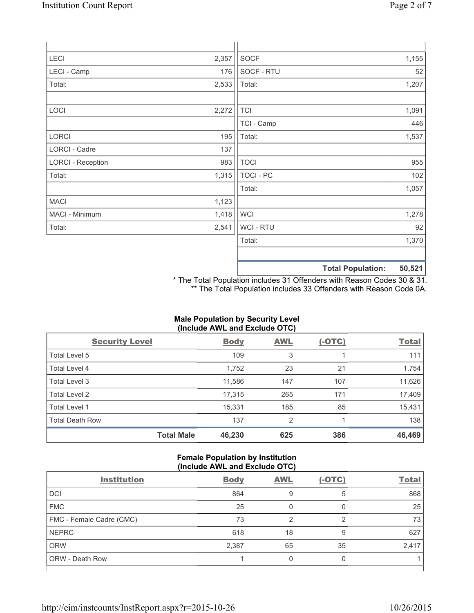| <b>LECI</b>              | 2,357 | SOCF             |                          | 1,155  |
|--------------------------|-------|------------------|--------------------------|--------|
| LECI - Camp              | 176   | SOCF - RTU       |                          | 52     |
| Total:                   | 2,533 | Total:           |                          | 1,207  |
| LOCI                     | 2,272 | <b>TCI</b>       |                          | 1,091  |
|                          |       | TCI - Camp       |                          | 446    |
| <b>LORCI</b>             | 195   | Total:           |                          | 1,537  |
| LORCI - Cadre            | 137   |                  |                          |        |
| <b>LORCI - Reception</b> | 983   | <b>TOCI</b>      |                          | 955    |
| Total:                   | 1,315 | <b>TOCI - PC</b> |                          | 102    |
|                          |       | Total:           |                          | 1,057  |
| <b>MACI</b>              | 1,123 |                  |                          |        |
| MACI - Minimum           | 1,418 | <b>WCI</b>       |                          | 1,278  |
| Total:                   | 2,541 | WCI - RTU        |                          | 92     |
|                          |       | Total:           |                          | 1,370  |
|                          |       |                  | <b>Total Population:</b> | 50,521 |

\* The Total Population includes 31 Offenders with Reason Codes 30 & 31. \*\* The Total Population includes 33 Offenders with Reason Code 0A.

## **Male Population by Security Level (Include AWL and Exclude OTC)**

| <b>Security Level</b>  |                   | <b>Body</b> | <b>AWL</b> | $(-OTC)$ | <b>Total</b> |
|------------------------|-------------------|-------------|------------|----------|--------------|
| Total Level 5          |                   | 109         | 3          |          | 111          |
| Total Level 4          |                   | 1,752       | 23         | 21       | 1,754        |
| Total Level 3          |                   | 11,586      | 147        | 107      | 11,626       |
| Total Level 2          |                   | 17,315      | 265        | 171      | 17,409       |
| Total Level 1          |                   | 15,331      | 185        | 85       | 15,431       |
| <b>Total Death Row</b> |                   | 137         | 2          |          | 138          |
|                        | <b>Total Male</b> | 46,230      | 625        | 386      | 46,469       |

### **Female Population by Institution (Include AWL and Exclude OTC)**

| <b>Institution</b>       | <b>Body</b> | <b>AWL</b> | $(-OTC)$ | <b>Total</b> |  |
|--------------------------|-------------|------------|----------|--------------|--|
| <b>DCI</b>               | 864         | 9          | 5        | 868          |  |
| <b>FMC</b>               | 25          | 0          |          | 25           |  |
| FMC - Female Cadre (CMC) | 73          | 2          | 2        | 73           |  |
| <b>NEPRC</b>             | 618         | 18         | 9        | 627          |  |
| <b>ORW</b>               | 2,387       | 65         | 35       | 2,417        |  |
| <b>ORW - Death Row</b>   |             | 0          | 0        |              |  |
|                          |             |            |          |              |  |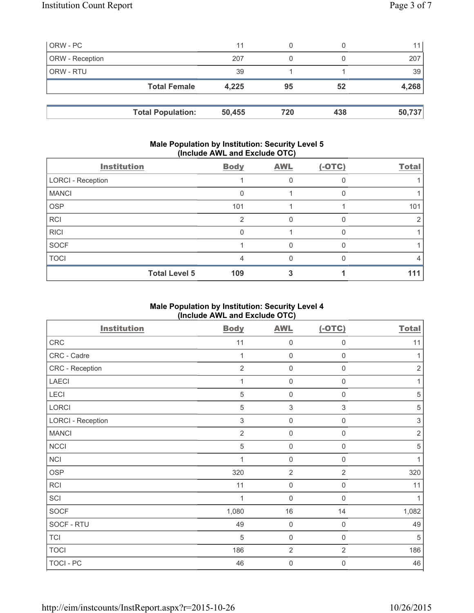| ORW - PC        |                     | 11    | 0  |    | 11 <sub>1</sub> |
|-----------------|---------------------|-------|----|----|-----------------|
| ORW - Reception |                     | 207   | 0  |    | 207             |
| ORW - RTU       |                     | 39    |    |    | 39              |
|                 | <b>Total Female</b> | 4,225 | 95 | 52 | 4,268           |
|                 |                     |       |    |    |                 |
|                 |                     |       |    |    |                 |

### **Male Population by Institution: Security Level 5 (Include AWL and Exclude OTC)**

| <b>Institution</b>       | <b>Body</b> | <b>AWL</b> | $(-OTC)$ | <b>Total</b> |
|--------------------------|-------------|------------|----------|--------------|
| <b>LORCI - Reception</b> |             |            |          |              |
| <b>MANCI</b>             | $\Omega$    |            |          |              |
| <b>OSP</b>               | 101         |            |          | 101          |
| <b>RCI</b>               | 2           | O          |          |              |
| <b>RICI</b>              | $\Omega$    |            |          |              |
| SOCF                     |             |            |          |              |
| <b>TOCI</b>              | 4           | ∩          |          |              |
| <b>Total Level 5</b>     | 109         |            |          | 11           |

## **Male Population by Institution: Security Level 4 (Include AWL and Exclude OTC)**

| <b>Institution</b>       | <b>Body</b>    | <b>AWL</b>     | $(-OTC)$            | <b>Total</b> |
|--------------------------|----------------|----------------|---------------------|--------------|
| ${\sf CRC}$              | 11             | $\mathbf 0$    | $\mathbf 0$         | 11           |
| CRC - Cadre              | 1              | $\mathbf 0$    | $\mathbf 0$         | 1            |
| CRC - Reception          | $\overline{2}$ | $\mathbf 0$    | $\mathbf 0$         | $\sqrt{2}$   |
| <b>LAECI</b>             | 1              | $\mathbf 0$    | $\mathsf{0}$        | 1            |
| LECI                     | $\sqrt{5}$     | $\mathbf 0$    | $\mathsf{0}$        | $\sqrt{5}$   |
| LORCI                    | $\sqrt{5}$     | $\,$ 3 $\,$    | 3                   | $\sqrt{5}$   |
| <b>LORCI - Reception</b> | $\mathfrak{S}$ | $\mathbf 0$    | $\mathsf 0$         | $\sqrt{3}$   |
| <b>MANCI</b>             | $\overline{2}$ | $\mathbf 0$    | $\mathsf{O}\xspace$ | $\sqrt{2}$   |
| <b>NCCI</b>              | $\sqrt{5}$     | $\mathbf 0$    | $\mathsf{O}\xspace$ | $\sqrt{5}$   |
| <b>NCI</b>               | 1              | $\mathbf 0$    | $\mathbf 0$         | 1            |
| <b>OSP</b>               | 320            | $\overline{2}$ | $\overline{2}$      | 320          |
| RCI                      | 11             | $\mathbf 0$    | 0                   | 11           |
| SCI                      | 1              | $\mathbf 0$    | 0                   | $\mathbf{1}$ |
| <b>SOCF</b>              | 1,080          | 16             | 14                  | 1,082        |
| SOCF - RTU               | 49             | $\mathbf 0$    | 0                   | 49           |
| <b>TCI</b>               | 5              | $\mathbf 0$    | $\mathbf 0$         | 5            |
| <b>TOCI</b>              | 186            | $\overline{2}$ | $\overline{2}$      | 186          |
| <b>TOCI - PC</b>         | 46             | $\mathbf 0$    | 0                   | 46           |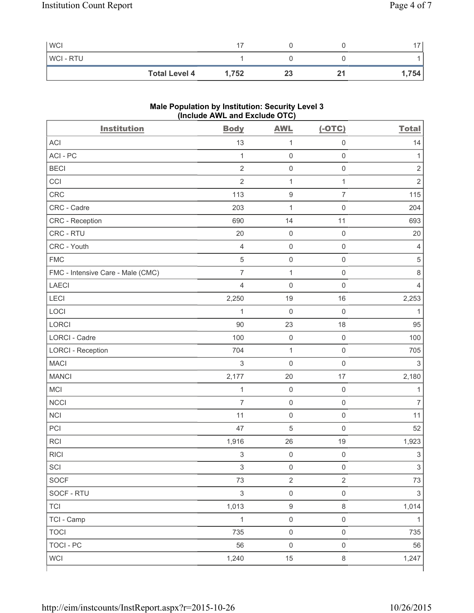| <b>WCI</b>     |                      | -     |    |     | $\overline{\phantom{a}}$ |
|----------------|----------------------|-------|----|-----|--------------------------|
| <b>WCI-RTU</b> |                      |       |    |     |                          |
|                | <b>Total Level 4</b> | 1,752 | 23 | . . | .754                     |

# **Male Population by Institution: Security Level 3 (Include AWL and Exclude OTC)**

| <b>Institution</b>                | <b>Body</b>               | <b>AWL</b>          | $(-OTC)$            | <b>Total</b>              |
|-----------------------------------|---------------------------|---------------------|---------------------|---------------------------|
| <b>ACI</b>                        | 13                        | $\mathbf{1}$        | $\mathsf 0$         | 14                        |
| ACI-PC                            | $\mathbf{1}$              | $\mathsf 0$         | $\mathsf 0$         | 1                         |
| <b>BECI</b>                       | $\overline{2}$            | $\mathsf{O}\xspace$ | $\mathsf 0$         | $\sqrt{2}$                |
| CCI                               | $\overline{2}$            | $\mathbf 1$         | $\mathbf{1}$        | $\overline{2}$            |
| CRC                               | 113                       | $\boldsymbol{9}$    | $\overline{7}$      | 115                       |
| CRC - Cadre                       | 203                       | $\mathbf 1$         | $\mathsf 0$         | 204                       |
| CRC - Reception                   | 690                       | 14                  | 11                  | 693                       |
| CRC - RTU                         | 20                        | $\mathsf{O}\xspace$ | $\mathsf 0$         | 20                        |
| CRC - Youth                       | $\overline{4}$            | $\mathsf{O}\xspace$ | $\mathsf 0$         | 4                         |
| <b>FMC</b>                        | $\sqrt{5}$                | $\mathsf{O}\xspace$ | $\mathsf 0$         | $\sqrt{5}$                |
| FMC - Intensive Care - Male (CMC) | $\overline{7}$            | $\mathbf 1$         | $\mathsf 0$         | 8                         |
| <b>LAECI</b>                      | $\overline{4}$            | $\mathsf{O}\xspace$ | $\mathsf 0$         | $\overline{4}$            |
| LECI                              | 2,250                     | 19                  | 16                  | 2,253                     |
| LOCI                              | $\mathbf{1}$              | $\mathbf 0$         | $\mathsf 0$         | $\mathbf{1}$              |
| LORCI                             | 90                        | 23                  | 18                  | 95                        |
| <b>LORCI - Cadre</b>              | 100                       | $\mathsf{O}\xspace$ | $\mathsf 0$         | 100                       |
| <b>LORCI - Reception</b>          | 704                       | $\mathbf 1$         | $\mathsf 0$         | 705                       |
| <b>MACI</b>                       | $\mathfrak{S}$            | $\mathbf 0$         | $\mathsf 0$         | $\sqrt{3}$                |
| <b>MANCI</b>                      | 2,177                     | 20                  | 17                  | 2,180                     |
| MCI                               | $\mathbf{1}$              | $\mathsf{O}\xspace$ | $\mathsf 0$         | 1                         |
| <b>NCCI</b>                       | $\overline{7}$            | $\mathsf{O}\xspace$ | $\mathsf 0$         | $\overline{7}$            |
| <b>NCI</b>                        | 11                        | $\mathsf{O}\xspace$ | $\mathsf 0$         | 11                        |
| PCI                               | 47                        | $\sqrt{5}$          | $\mathsf 0$         | 52                        |
| <b>RCI</b>                        | 1,916                     | 26                  | 19                  | 1,923                     |
| <b>RICI</b>                       | $\ensuremath{\mathsf{3}}$ | $\mathsf{O}\xspace$ | $\mathbf 0$         | $\ensuremath{\mathsf{3}}$ |
| SCI                               | 3                         | $\mathsf{O}\xspace$ | $\mathsf{O}\xspace$ | $\overline{3}$            |
| <b>SOCF</b>                       | 73                        | $\sqrt{2}$          | $\overline{2}$      | 73                        |
| SOCF - RTU                        | $\mathfrak{S}$            | $\mathsf{O}\xspace$ | $\mathsf 0$         | $\mathfrak{S}$            |
| <b>TCI</b>                        | 1,013                     | $\boldsymbol{9}$    | $\,8\,$             | 1,014                     |
| TCI - Camp                        | $\mathbf{1}$              | $\mathsf{O}\xspace$ | $\mathsf 0$         | $\mathbf{1}$              |
| <b>TOCI</b>                       | 735                       | $\mathsf{O}\xspace$ | $\mathsf 0$         | 735                       |
| <b>TOCI - PC</b>                  | 56                        | $\mathsf{O}\xspace$ | $\mathsf 0$         | 56                        |
| <b>WCI</b>                        | 1,240                     | 15                  | $\,8\,$             | 1,247                     |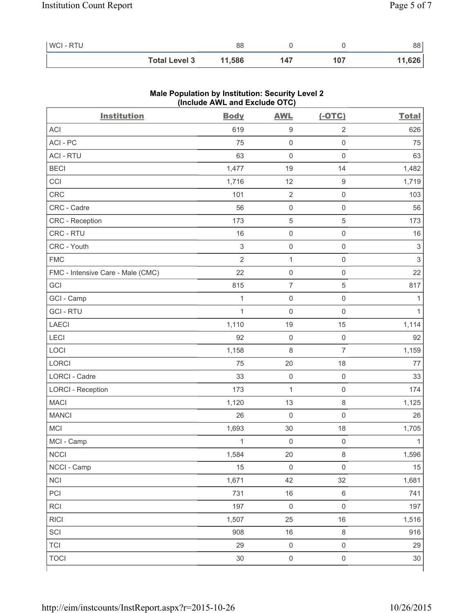| WCI - RTU |                      | 88     |     |     | 88     |
|-----------|----------------------|--------|-----|-----|--------|
|           | <b>Total Level 3</b> | 11,586 | 147 | 107 | 11,626 |

| <b>Institution</b>                | (include AVIL and Exclude OTO)<br><b>Body</b> | <b>AWL</b>          | $(-OTC)$            | <b>Total</b>              |
|-----------------------------------|-----------------------------------------------|---------------------|---------------------|---------------------------|
| <b>ACI</b>                        | 619                                           | $\boldsymbol{9}$    | $\sqrt{2}$          | 626                       |
| ACI-PC                            | 75                                            | $\mathsf 0$         | $\mathsf{O}\xspace$ | 75                        |
| <b>ACI - RTU</b>                  | 63                                            | $\mathbf 0$         | $\mathbf 0$         | 63                        |
| <b>BECI</b>                       | 1,477                                         | 19                  | 14                  | 1,482                     |
| CCI                               | 1,716                                         | 12                  | $\hbox{9}$          | 1,719                     |
| CRC                               | 101                                           | $\sqrt{2}$          | $\mathsf 0$         | 103                       |
| CRC - Cadre                       | 56                                            | $\mathsf{O}\xspace$ | $\mathsf 0$         | 56                        |
| CRC - Reception                   | 173                                           | $\mathbf 5$         | 5                   | 173                       |
| CRC - RTU                         | 16                                            | $\mathsf{O}\xspace$ | $\mathsf 0$         | $16$                      |
| CRC - Youth                       | $\ensuremath{\mathsf{3}}$                     | $\mathsf{O}\xspace$ | $\mathsf 0$         | $\ensuremath{\mathsf{3}}$ |
| <b>FMC</b>                        | $\overline{2}$                                | $\mathbf 1$         | $\mathsf 0$         | $\mathsf 3$               |
| FMC - Intensive Care - Male (CMC) | 22                                            | $\mathsf{O}\xspace$ | $\mathsf 0$         | 22                        |
| GCI                               | 815                                           | $\overline{7}$      | $\,$ 5 $\,$         | 817                       |
| GCI - Camp                        | $\mathbf{1}$                                  | $\mathsf{O}\xspace$ | $\mathsf 0$         | $\mathbf{1}$              |
| <b>GCI-RTU</b>                    | $\mathbf{1}$                                  | $\mathsf{O}\xspace$ | $\mathsf 0$         | $\mathbf{1}$              |
| <b>LAECI</b>                      | 1,110                                         | 19                  | 15                  | 1,114                     |
| LECI                              | 92                                            | $\mathsf{O}\xspace$ | $\mathsf 0$         | 92                        |
| LOCI                              | 1,158                                         | 8                   | $\overline{7}$      | 1,159                     |
| LORCI                             | 75                                            | 20                  | 18                  | 77                        |
| LORCI - Cadre                     | 33                                            | $\mathsf{O}\xspace$ | $\mathsf{O}\xspace$ | 33                        |
| <b>LORCI - Reception</b>          | 173                                           | 1                   | $\mathsf{O}\xspace$ | 174                       |
| <b>MACI</b>                       | 1,120                                         | 13                  | $\,8\,$             | 1,125                     |
| <b>MANCI</b>                      | 26                                            | $\mathbf 0$         | $\mathbf 0$         | 26                        |
| MCI                               | 1,693                                         | 30                  | 18                  | 1,705                     |
| MCI - Camp                        | 1                                             | $\mathsf{O}\xspace$ | $\mathsf{O}\xspace$ | $\mathbf{1}$              |
| <b>NCCI</b>                       | 1,584                                         | 20                  | $\,8\,$             | 1,596                     |
| NCCI - Camp                       | 15                                            | $\mathsf{O}\xspace$ | $\mathsf{O}\xspace$ | 15                        |
| <b>NCI</b>                        | 1,671                                         | 42                  | 32                  | 1,681                     |
| PCI                               | 731                                           | 16                  | $\,6\,$             | 741                       |
| RCI                               | 197                                           | $\mathsf 0$         | $\mathsf 0$         | 197                       |
| <b>RICI</b>                       | 1,507                                         | 25                  | 16                  | 1,516                     |
| SCI                               | 908                                           | $16\,$              | $\,8\,$             | 916                       |
| <b>TCI</b>                        | 29                                            | $\mathsf{O}\xspace$ | $\mathsf{O}\xspace$ | 29                        |
| <b>TOCI</b>                       | 30                                            | $\mathsf{O}\xspace$ | $\mathsf 0$         | $30\,$                    |
|                                   |                                               |                     |                     |                           |

## **Male Population by Institution: Security Level 2 (Include AWL and Exclude OTC)**

٦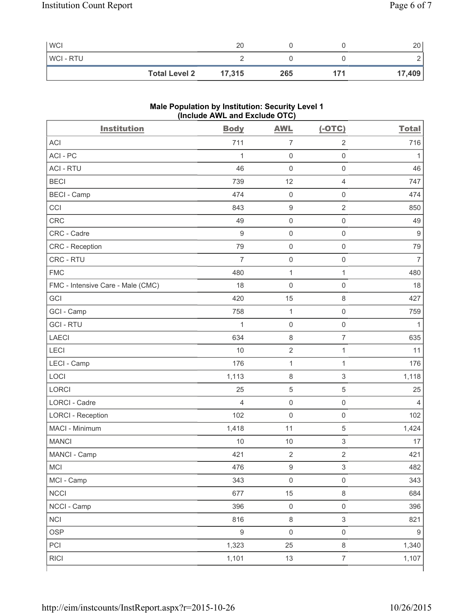| <b>WCI</b>     |                      | 20     |     |     | 20     |
|----------------|----------------------|--------|-----|-----|--------|
| <b>WCI-RTU</b> |                      |        |     |     | -      |
|                | <b>Total Level 2</b> | 17,315 | 265 | 171 | 17,409 |

# **Male Population by Institution: Security Level 1 (Include AWL and Exclude OTC)**

| <b>Institution</b>                | <b>Body</b>      | <b>AWL</b>          | $(-OTC)$                  | <b>Total</b>     |
|-----------------------------------|------------------|---------------------|---------------------------|------------------|
| <b>ACI</b>                        | 711              | $\overline{7}$      | $\overline{2}$            | 716              |
| ACI - PC                          | 1                | $\mathsf{O}\xspace$ | $\mathsf{O}\xspace$       | 1                |
| <b>ACI - RTU</b>                  | 46               | $\mathsf 0$         | $\mathsf{O}\xspace$       | 46               |
| <b>BECI</b>                       | 739              | 12                  | $\overline{4}$            | 747              |
| <b>BECI - Camp</b>                | 474              | $\mathsf{O}\xspace$ | $\mathsf{O}\xspace$       | 474              |
| CCI                               | 843              | $\boldsymbol{9}$    | $\overline{2}$            | 850              |
| CRC                               | 49               | $\mathsf{O}\xspace$ | $\mathsf{O}\xspace$       | 49               |
| CRC - Cadre                       | $9\,$            | $\mathsf 0$         | $\mathsf 0$               | 9                |
| CRC - Reception                   | 79               | $\mathsf{O}\xspace$ | $\mathsf 0$               | 79               |
| CRC - RTU                         | $\overline{7}$   | $\mathsf 0$         | $\mathsf{O}\xspace$       | $\overline{7}$   |
| <b>FMC</b>                        | 480              | $\mathbf{1}$        | $\mathbf{1}$              | 480              |
| FMC - Intensive Care - Male (CMC) | 18               | $\mathsf{O}\xspace$ | $\mathsf{O}\xspace$       | 18               |
| GCI                               | 420              | 15                  | $\,8\,$                   | 427              |
| GCI - Camp                        | 758              | $\mathbf{1}$        | $\mathsf 0$               | 759              |
| <b>GCI-RTU</b>                    | $\mathbf{1}$     | $\mathsf 0$         | $\mathsf{O}\xspace$       | $\mathbf{1}$     |
| <b>LAECI</b>                      | 634              | $\,8\,$             | $\overline{7}$            | 635              |
| LECI                              | 10               | $\sqrt{2}$          | $\mathbf{1}$              | 11               |
| LECI - Camp                       | 176              | $\mathbf{1}$        | $\mathbf{1}$              | 176              |
| LOCI                              | 1,113            | $\,8\,$             | $\mathsf 3$               | 1,118            |
| LORCI                             | 25               | $\sqrt{5}$          | $\,$ 5 $\,$               | 25               |
| <b>LORCI - Cadre</b>              | 4                | $\mathsf{O}\xspace$ | $\mathsf 0$               | $\overline{4}$   |
| <b>LORCI - Reception</b>          | 102              | $\mathsf{O}\xspace$ | $\mathsf{O}\xspace$       | 102              |
| MACI - Minimum                    | 1,418            | 11                  | $\sqrt{5}$                | 1,424            |
| <b>MANCI</b>                      | 10               | 10                  | $\ensuremath{\mathsf{3}}$ | 17               |
| MANCI - Camp                      | 421              | $\sqrt{2}$          | $\mathbf 2$               | 421              |
| MCI                               | 476              | $\boldsymbol{9}$    | $\mathsf 3$               | 482              |
| MCI - Camp                        | 343              | $\mathsf{O}\xspace$ | $\mathsf{O}\xspace$       | 343              |
| <b>NCCI</b>                       | 677              | 15                  | $\,8\,$                   | 684              |
| NCCI - Camp                       | 396              | $\mathsf{O}\xspace$ | $\mathsf{O}\xspace$       | 396              |
| <b>NCI</b>                        | 816              | $\,8\,$             | $\ensuremath{\mathsf{3}}$ | 821              |
| <b>OSP</b>                        | $\boldsymbol{9}$ | $\mathsf{O}\xspace$ | $\mathsf{O}\xspace$       | $\boldsymbol{9}$ |
| PCI                               | 1,323            | 25                  | $\,8\,$                   | 1,340            |
| <b>RICI</b>                       | 1,101            | 13                  | $\overline{7}$            | 1,107            |